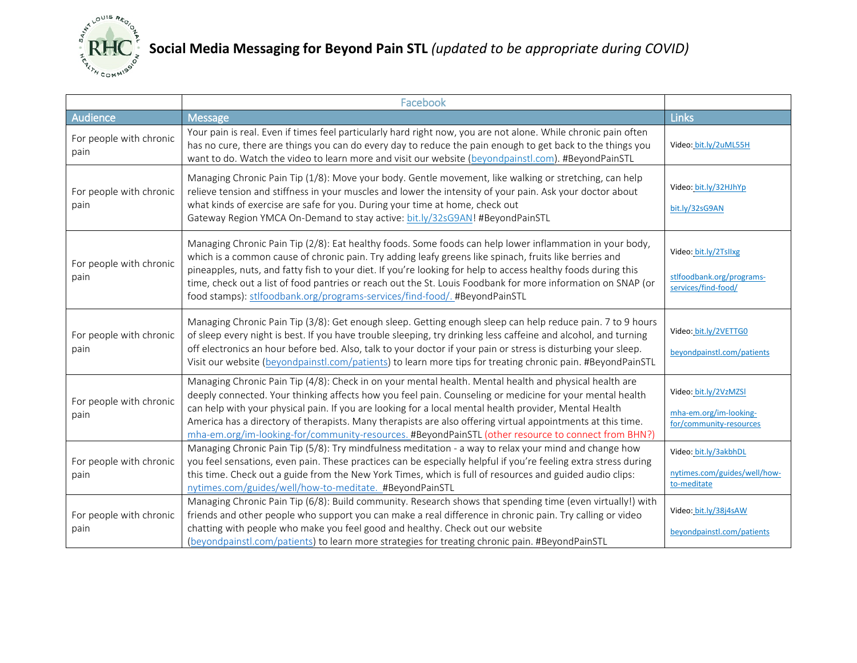

## **Social Media Messaging for Beyond Pain STL** *(updated to be appropriate during COVID)*

|                                 | Facebook                                                                                                                                                                                                                                                                                                                                                                                                                                                                                                                                           |                                                                            |
|---------------------------------|----------------------------------------------------------------------------------------------------------------------------------------------------------------------------------------------------------------------------------------------------------------------------------------------------------------------------------------------------------------------------------------------------------------------------------------------------------------------------------------------------------------------------------------------------|----------------------------------------------------------------------------|
| <b>Audience</b>                 | Message                                                                                                                                                                                                                                                                                                                                                                                                                                                                                                                                            | Links                                                                      |
| For people with chronic<br>pain | Your pain is real. Even if times feel particularly hard right now, you are not alone. While chronic pain often<br>has no cure, there are things you can do every day to reduce the pain enough to get back to the things you<br>want to do. Watch the video to learn more and visit our website (beyondpainstl.com). #BeyondPainSTL                                                                                                                                                                                                                | Video: bit.ly/2uML55H                                                      |
| For people with chronic<br>pain | Managing Chronic Pain Tip (1/8): Move your body. Gentle movement, like walking or stretching, can help<br>relieve tension and stiffness in your muscles and lower the intensity of your pain. Ask your doctor about<br>what kinds of exercise are safe for you. During your time at home, check out<br>Gateway Region YMCA On-Demand to stay active: bit.ly/32sG9AN! #BeyondPainSTL                                                                                                                                                                | Video: bit.ly/32HJhYp<br>bit.ly/32sG9AN                                    |
| For people with chronic<br>pain | Managing Chronic Pain Tip (2/8): Eat healthy foods. Some foods can help lower inflammation in your body,<br>which is a common cause of chronic pain. Try adding leafy greens like spinach, fruits like berries and<br>pineapples, nuts, and fatty fish to your diet. If you're looking for help to access healthy foods during this<br>time, check out a list of food pantries or reach out the St. Louis Foodbank for more information on SNAP (or<br>food stamps): stlfoodbank.org/programs-services/find-food/. #BeyondPainSTL                  | Video: bit.ly/2Tsllxg<br>stlfoodbank.org/programs-<br>services/find-food/  |
| For people with chronic<br>pain | Managing Chronic Pain Tip (3/8): Get enough sleep. Getting enough sleep can help reduce pain. 7 to 9 hours<br>of sleep every night is best. If you have trouble sleeping, try drinking less caffeine and alcohol, and turning<br>off electronics an hour before bed. Also, talk to your doctor if your pain or stress is disturbing your sleep.<br>Visit our website (beyondpainstl.com/patients) to learn more tips for treating chronic pain. #BeyondPainSTL                                                                                     | Video: bit.ly/2VETTG0<br>beyondpainstl.com/patients                        |
| For people with chronic<br>pain | Managing Chronic Pain Tip (4/8): Check in on your mental health. Mental health and physical health are<br>deeply connected. Your thinking affects how you feel pain. Counseling or medicine for your mental health<br>can help with your physical pain. If you are looking for a local mental health provider, Mental Health<br>America has a directory of therapists. Many therapists are also offering virtual appointments at this time.<br>mha-em.org/im-looking-for/community-resources. #BeyondPainSTL (other resource to connect from BHN?) | Video: bit.ly/2VzMZSl<br>mha-em.org/im-looking-<br>for/community-resources |
| For people with chronic<br>pain | Managing Chronic Pain Tip (5/8): Try mindfulness meditation - a way to relax your mind and change how<br>you feel sensations, even pain. These practices can be especially helpful if you're feeling extra stress during<br>this time. Check out a guide from the New York Times, which is full of resources and guided audio clips:<br>nytimes.com/guides/well/how-to-meditate. #BeyondPainSTL                                                                                                                                                    | Video: bit.ly/3akbhDL<br>nytimes.com/guides/well/how-<br>to-meditate       |
| For people with chronic<br>pain | Managing Chronic Pain Tip (6/8): Build community. Research shows that spending time (even virtually!) with<br>friends and other people who support you can make a real difference in chronic pain. Try calling or video<br>chatting with people who make you feel good and healthy. Check out our website<br>(beyondpainstl.com/patients) to learn more strategies for treating chronic pain. #BeyondPainSTL                                                                                                                                       | Video: bit.ly/38j4sAW<br>beyondpainstl.com/patients                        |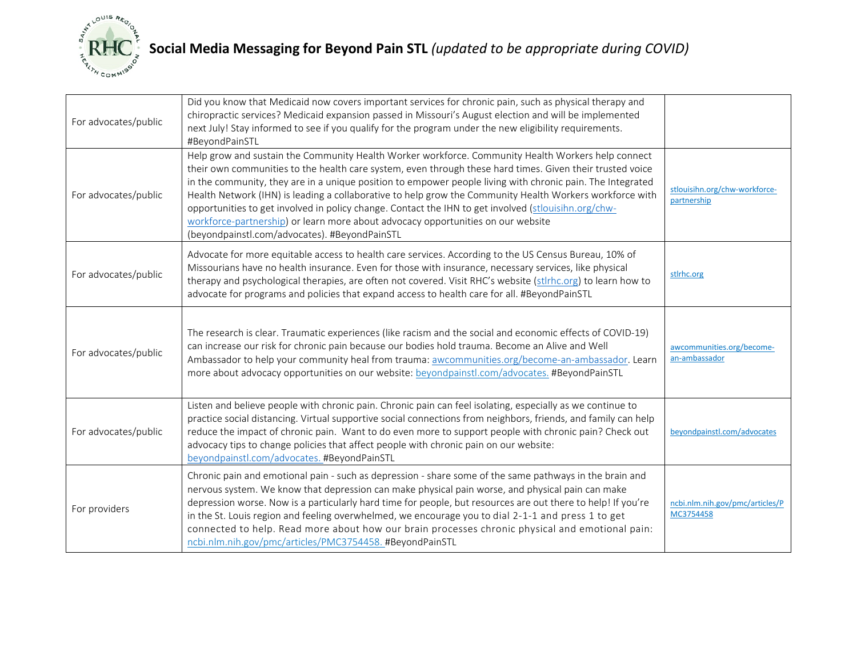

| For advocates/public | Did you know that Medicaid now covers important services for chronic pain, such as physical therapy and<br>chiropractic services? Medicaid expansion passed in Missouri's August election and will be implemented<br>next July! Stay informed to see if you qualify for the program under the new eligibility requirements.<br>#BeyondPainSTL                                                                                                                                                                                                                                                                                                                                          |                                              |
|----------------------|----------------------------------------------------------------------------------------------------------------------------------------------------------------------------------------------------------------------------------------------------------------------------------------------------------------------------------------------------------------------------------------------------------------------------------------------------------------------------------------------------------------------------------------------------------------------------------------------------------------------------------------------------------------------------------------|----------------------------------------------|
| For advocates/public | Help grow and sustain the Community Health Worker workforce. Community Health Workers help connect<br>their own communities to the health care system, even through these hard times. Given their trusted voice<br>in the community, they are in a unique position to empower people living with chronic pain. The Integrated<br>Health Network (IHN) is leading a collaborative to help grow the Community Health Workers workforce with<br>opportunities to get involved in policy change. Contact the IHN to get involved (stlouisihn.org/chw-<br>workforce-partnership) or learn more about advocacy opportunities on our website<br>(beyondpainstl.com/advocates). #BeyondPainSTL | stlouisihn.org/chw-workforce-<br>partnership |
| For advocates/public | Advocate for more equitable access to health care services. According to the US Census Bureau, 10% of<br>Missourians have no health insurance. Even for those with insurance, necessary services, like physical<br>therapy and psychological therapies, are often not covered. Visit RHC's website (stlrhc.org) to learn how to<br>advocate for programs and policies that expand access to health care for all. #BeyondPainSTL                                                                                                                                                                                                                                                        | stirhc.org                                   |
| For advocates/public | The research is clear. Traumatic experiences (like racism and the social and economic effects of COVID-19)<br>can increase our risk for chronic pain because our bodies hold trauma. Become an Alive and Well<br>Ambassador to help your community heal from trauma: awcommunities.org/become-an-ambassador. Learn<br>more about advocacy opportunities on our website: beyondpainstl.com/advocates. #BeyondPainSTL                                                                                                                                                                                                                                                                    | awcommunities.org/become-<br>an-ambassador   |
| For advocates/public | Listen and believe people with chronic pain. Chronic pain can feel isolating, especially as we continue to<br>practice social distancing. Virtual supportive social connections from neighbors, friends, and family can help<br>reduce the impact of chronic pain. Want to do even more to support people with chronic pain? Check out<br>advocacy tips to change policies that affect people with chronic pain on our website:<br>beyondpainstl.com/advocates. #BeyondPainSTL                                                                                                                                                                                                         | beyondpainstl.com/advocates                  |
| For providers        | Chronic pain and emotional pain - such as depression - share some of the same pathways in the brain and<br>nervous system. We know that depression can make physical pain worse, and physical pain can make<br>depression worse. Now is a particularly hard time for people, but resources are out there to help! If you're<br>in the St. Louis region and feeling overwhelmed, we encourage you to dial 2-1-1 and press 1 to get<br>connected to help. Read more about how our brain processes chronic physical and emotional pain:<br>ncbi.nlm.nih.gov/pmc/articles/PMC3754458. #BeyondPainSTL                                                                                       | ncbi.nlm.nih.gov/pmc/articles/P<br>MC3754458 |